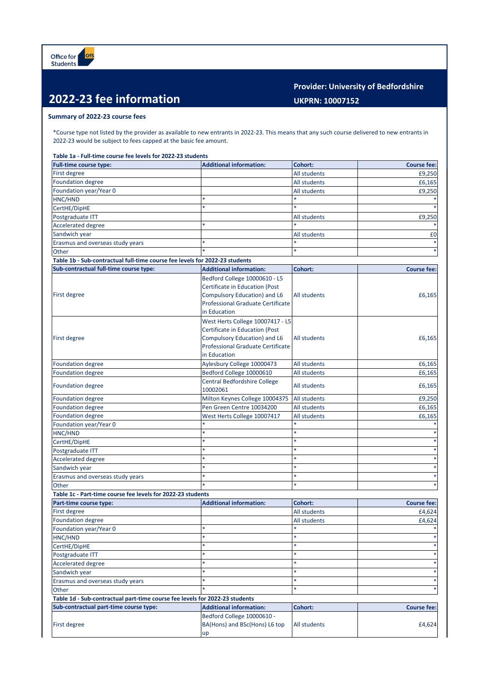## **2022-23 fee information**

## **Provider: University of Bedfordshire UKPRN: 10007152**

## **Summary of 2022-23 course fees**

\*Course type not listed by the provider as available to new entrants in 2022-23. This means that any such course delivered to new entrants in 2022-23 would be subject to fees capped at the basic fee amount.

## **Table 1a - Full-time course fee levels for 2022-23 students**

| <b>Full-time course type:</b>                                               | <b>Additional information:</b>           | Cohort:           | <b>Course fee:</b> |
|-----------------------------------------------------------------------------|------------------------------------------|-------------------|--------------------|
| First degree                                                                |                                          | All students      | £9,250             |
| <b>Foundation degree</b>                                                    |                                          | All students      | £6,165             |
| Foundation year/Year 0                                                      |                                          | All students      | £9,250             |
| HNC/HND                                                                     |                                          | $\ast$            |                    |
| CertHE/DipHE                                                                |                                          |                   |                    |
| Postgraduate ITT                                                            |                                          | All students      | £9,250             |
| <b>Accelerated degree</b>                                                   |                                          |                   |                    |
| Sandwich year                                                               |                                          | All students      | £0                 |
| Erasmus and overseas study years                                            |                                          |                   |                    |
| Other                                                                       |                                          | *                 |                    |
| Table 1b - Sub-contractual full-time course fee levels for 2022-23 students |                                          |                   |                    |
| Sub-contractual full-time course type:                                      | <b>Additional information:</b>           | Cohort:           | <b>Course fee:</b> |
|                                                                             | Bedford College 10000610 - L5            |                   |                    |
|                                                                             |                                          |                   |                    |
|                                                                             | Certificate in Education (Post           |                   |                    |
| <b>First degree</b>                                                         | Compulsory Education) and L6             | All students      | £6,165             |
|                                                                             | <b>Professional Graduate Certificate</b> |                   |                    |
|                                                                             | in Education                             |                   |                    |
|                                                                             | West Herts College 10007417 - L5         |                   |                    |
|                                                                             | <b>Certificate in Education (Post</b>    |                   |                    |
| First degree                                                                | <b>Compulsory Education) and L6</b>      | All students      | £6,165             |
|                                                                             | <b>Professional Graduate Certificate</b> |                   |                    |
|                                                                             | in Education                             |                   |                    |
| <b>Foundation degree</b>                                                    | Aylesbury College 10000473               | All students      | £6,165             |
| <b>Foundation degree</b>                                                    | Bedford College 10000610                 | All students      | £6,165             |
|                                                                             | <b>Central Bedfordshire College</b>      | All students      |                    |
| <b>Foundation degree</b>                                                    | 10002061                                 |                   | £6,165             |
| <b>Foundation degree</b>                                                    | Milton Keynes College 10004375           | All students      | £9,250             |
| <b>Foundation degree</b>                                                    | Pen Green Centre 10034200                | All students      | £6,165             |
| <b>Foundation degree</b>                                                    | West Herts College 10007417              | All students      | £6,165             |
| Foundation year/Year 0                                                      |                                          |                   |                    |
| HNC/HND                                                                     |                                          | $\ast$            |                    |
| CertHE/DipHE                                                                |                                          |                   |                    |
| Postgraduate ITT                                                            | $\ast$                                   | *                 |                    |
| <b>Accelerated degree</b>                                                   | $\ast$                                   | sk.               |                    |
| Sandwich year                                                               | $\ast$                                   | *                 |                    |
| Erasmus and overseas study years                                            | $\ast$                                   | *                 |                    |
| Other                                                                       |                                          | *                 |                    |
| Table 1c - Part-time course fee levels for 2022-23 students                 |                                          |                   |                    |
| Part-time course type:                                                      | <b>Additional information:</b>           | Cohort:           | <b>Course fee:</b> |
| First degree                                                                |                                          | All students      | £4,624             |
| <b>Foundation degree</b>                                                    |                                          |                   |                    |
|                                                                             |                                          | All students<br>× | £4,624             |
| Foundation year/Year 0                                                      | *                                        | *                 |                    |
| HNC/HND                                                                     |                                          |                   |                    |
| CertHE/DipHE                                                                |                                          |                   |                    |
| Postgraduate ITT                                                            |                                          |                   |                    |
| <b>Accelerated degree</b>                                                   |                                          |                   |                    |
| Sandwich year                                                               | $\ast$                                   | $\ast$            |                    |
| Erasmus and overseas study years                                            |                                          | *                 |                    |
| Other                                                                       |                                          | ×                 |                    |
| Table 1d - Sub-contractual part-time course fee levels for 2022-23 students |                                          |                   |                    |
| Sub-contractual part-time course type:                                      | <b>Additional information:</b>           | Cohort:           | <b>Course fee:</b> |
| First degree                                                                | Bedford College 10000610 -               |                   |                    |
|                                                                             | BA(Hons) and BSc(Hons) L6 top            | All students      | £4,624             |
|                                                                             | up                                       |                   |                    |